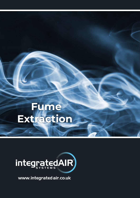## **Fume Extraction**



www.integratedair.co.uk